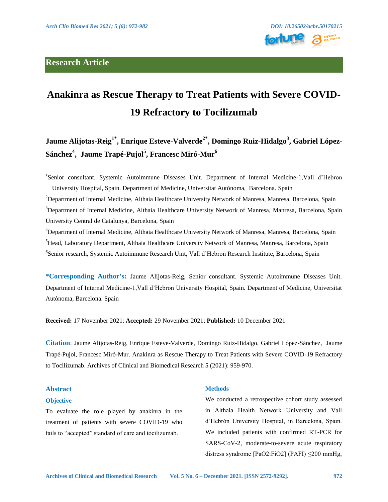

# **Anakinra as Rescue Therapy to Treat Patients with Severe COVID-19 Refractory to Tocilizumab**

Jaume Alijotas-Reig<sup>1\*</sup>, Enrique Esteve-Valverde<sup>2\*</sup>, Domingo Ruiz-Hidalgo<sup>3</sup>, Gabriel López-**Sánchez4 , Jaume Trapé-Pujol5 , Francesc Miró-Mur6**

<sup>1</sup>Senior consultant. Systemic Autoimmune Diseases Unit. Department of Internal Medicine-1, Vall d'Hebron University Hospital, Spain. Department of Medicine, Universitat Autònoma, Barcelona. Spain <sup>2</sup>Department of Internal Medicine, Althaia Healthcare University Network of Manresa, Manresa, Barcelona, Spain <sup>3</sup>Department of Internal Medicine, Althaia Healthcare University Network of Manresa, Manresa, Barcelona, Spain University Central de Catalunya, Barcelona, Spain <sup>4</sup>Department of Internal Medicine, Althaia Healthcare University Network of Manresa, Manresa, Barcelona, Spain

5 Head, Laboratory Department, Althaia Healthcare University Network of Manresa, Manresa, Barcelona, Spain 6 Senior research, Systemic Autoimmune Research Unit, Vall d'Hebron Research Institute, Barcelona, Spain

**\*Corresponding Author's:** Jaume Alijotas-Reig, Senior consultant. Systemic Autoimmune Diseases Unit. Department of Internal Medicine-1,Vall d'Hebron University Hospital, Spain. Department of Medicine, Universitat Autònoma, Barcelona. Spain

**Received:** 17 November 2021; **Accepted:** 29 November 2021; **Published:** 10 December 2021

**Citation**: Jaume Alijotas-Reig, Enrique Esteve-Valverde, Domingo Ruiz-Hidalgo, Gabriel López-Sánchez, Jaume Trapé-Pujol, Francesc Miró-Mur. Anakinra as Rescue Therapy to Treat Patients with Severe COVID-19 Refractory to Tocilizumab. Archives of Clinical and Biomedical Research 5 (2021): 959-970.

## **Abstract**

## **Objective**

To evaluate the role played by anakinra in the treatment of patients with severe COVID-19 who fails to "accepted" standard of care and tocilizumab.

#### **Methods**

We conducted a retrospective cohort study assessed in Althaia Health Network University and Vall d'Hebrón University Hospital, in Barcelona, Spain. We included patients with confirmed RT-PCR for SARS-CoV-2, moderate-to-severe acute respiratory distress syndrome [PaO2:FiO2] (PAFI) ≤200 mmHg,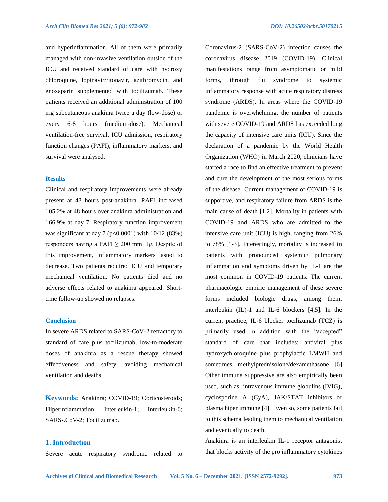and hyperinflammation. All of them were primarily managed with non-invasive ventilation outside of the ICU and received standard of care with hydroxy chloroquine, lopinavir/ritonavir, azithromycin, and enoxaparin supplemented with tocilizumab. These patients received an additional administration of 100 mg subcutaneous anakinra twice a day (low-dose) or every 6-8 hours (medium-dose). Mechanical ventilation-free survival, ICU admission, respiratory function changes (PAFI), inflammatory markers, and survival were analysed.

#### **Results**

Clinical and respiratory improvements were already present at 48 hours post-anakinra. PAFI increased 105.2% at 48 hours over anakinra administration and 166.9% at day 7. Respiratory function improvement was significant at day 7 ( $p < 0.0001$ ) with 10/12 (83%) responders having a PAFI  $\geq$  200 mm Hg. Despite of this improvement, inflammatory markers lasted to decrease. Two patients required ICU and temporary mechanical ventilation. No patients died and no adverse effects related to anakinra appeared. Shorttime follow-up showed no relapses.

#### **Conclusion**

In severe ARDS related to SARS-CoV-2 refractory to standard of care plus tocilizumab, low-to-moderate doses of anakinra as a rescue therapy showed effectiveness and safety, avoiding mechanical ventilation and deaths.

**Keywords:** Anakinra; COVID-19; Corticosteroids; Hiperinflammation; Interleukin-1; Interleukin-6; SARS-.CoV-2; Tocilizumab.

# **1. Introductıon**

Severe acute respiratory syndrome related to

Coronavirus-2 (SARS-CoV-2) infection causes the coronavirus disease 2019 (COVID-19). Clinical manifestations range from asymptomatic or mild forms, through flu syndrome to systemic inflammatory response with acute respiratory distress syndrome (ARDS). In areas where the COVID-19 pandemic is overwhelming, the number of patients with severe COVID-19 and ARDS has exceeded long the capacity of intensive care units (ICU). Since the declaration of a pandemic by the World Health Organization (WHO) in March 2020, clinicians have started a race to find an effective treatment to prevent and cure the development of the most serious forms of the disease. Current management of COVID-19 is supportive, and respiratory failure from ARDS is the main cause of death [1,2]. Mortality in patients with COVID-19 and ARDS who are admitted to the intensive care unit (ICU) is high, ranging from 26% to 78% [1-3]. Interestingly, mortality is increased in patients with pronounced systemic/ pulmonary inflammation and symptoms driven by IL-1 are the most common in COVID-19 patients. The current pharmacologic empiric management of these severe forms included biologic drugs, among them, interleukin (IL)-1 and IL-6 blockers [4,5]. In the current practice, IL-6 blocker tocilizumab (TCZ) is primarily used in addition with the "accepted" standard of care that includes: antiviral plus hydroxychloroquine plus prophylactic LMWH and sometimes methylprednisolone/dexamethasone [6] Other immune suppressive are also empirically been used, such as, intravenous immune globulins (IVIG), cyclosporine A (CyA), JAK/STAT inhibitors or plasma hiper immune [4]. Even so, some patients fail to this schema leading them to mechanical ventilation and eventually to death.

Anakinra is an interleukin IL-1 receptor antagonist that blocks activity of the pro inflammatory cytokines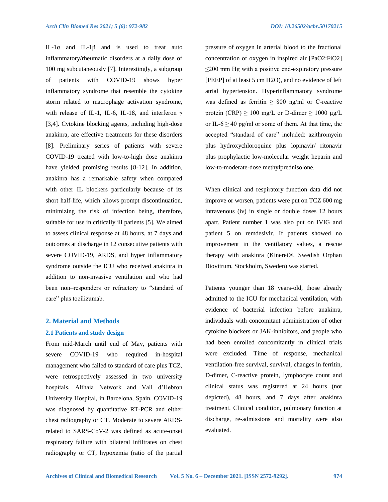IL-1α and IL-1β and is used to treat auto inflammatory/rheumatic disorders at a daily dose of 100 mg subcutaneously [7]. Interestingly, a subgroup of patients with COVID-19 shows hyper inflammatory syndrome that resemble the cytokine storm related to macrophage activation syndrome, with release of IL-1, IL-6, IL-18, and interferon  $\gamma$ [3,4]. Cytokine blocking agents, including high-dose anakinra, are effective treatments for these disorders [8]. Preliminary series of patients with severe COVID-19 treated with low-to-high dose anakinra have yielded promising results [8-12]. In addition, anakinra has a remarkable safety when compared with other IL blockers particularly because of its short half-life, which allows prompt discontinuation, minimizing the risk of infection being, therefore, suitable for use in critically ill patients [5]. We aimed to assess clinical response at 48 hours, at 7 days and outcomes at discharge in 12 consecutive patients with severe COVID-19, ARDS, and hyper inflammatory syndrome outside the ICU who received anakinra in addition to non-invasive ventilation and who had been non–responders or refractory to "standard of care" plus tocilizumab.

#### **2. Material and Methods**

## **2.1 Patients and study design**

From mid-March until end of May, patients with severe COVID-19 who required in-hospital management who failed to standard of care plus TCZ, were retrospectively assessed in two university hospitals, Althaia Network and Vall d'Hebron University Hospital, in Barcelona, Spain. COVID-19 was diagnosed by quantitative RT-PCR and either chest radiography or CT. Moderate to severe ARDSrelated to SARS-CoV-2 was defined as acute-onset respiratory failure with bilateral infiltrates on chest radiography or CT, hypoxemia (ratio of the partial pressure of oxygen in arterial blood to the fractional concentration of oxygen in inspired air [PaO2:FiO2] ≤200 mm Hg with a positive end-expiratory pressure [PEEP] of at least 5 cm H2O), and no evidence of left atrial hypertension. Hyperinflammatory syndrome was defined as ferritin  $\geq 800$  ng/ml or C-reactive protein (CRP)  $\geq 100$  mg/L or D-dimer  $\geq 1000$  µg/L or IL-6  $\geq$  40 pg/ml or some of them. At that time, the accepted "standard of care" included: azithromycin plus hydroxychloroquine plus lopinavir/ ritonavir plus prophylactic low-molecular weight heparin and low-to-moderate-dose methylprednisolone.

When clinical and respiratory function data did not improve or worsen, patients were put on TCZ 600 mg intravenous (iv) in single or double doses 12 hours apart. Patient number 1 was also put on IVIG and patient 5 on remdesivir. If patients showed no improvement in the ventilatory values, a rescue therapy with anakinra (Kineret®, Swedish Orphan Biovitrum, Stockholm, Sweden) was started.

Patients younger than 18 years-old, those already admitted to the ICU for mechanical ventilation, with evidence of bacterial infection before anakinra, individuals with concomitant administration of other cytokine blockers or JAK-inhibitors, and people who had been enrolled concomitantly in clinical trials were excluded. Time of response, mechanical ventilation-free survival, survival, changes in ferritin, D-dimer, C-reactive protein, lymphocyte count and clinical status was registered at 24 hours (not depicted), 48 hours, and 7 days after anakinra treatment. Clinical condition, pulmonary function at discharge, re-admissions and mortality were also evaluated.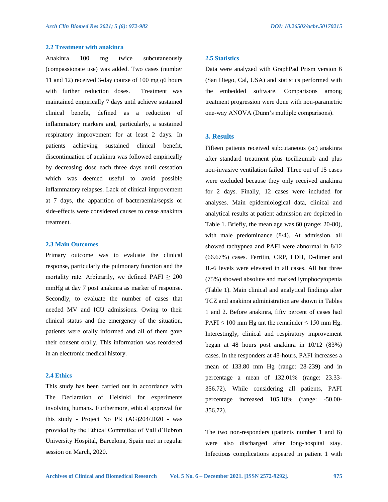## **2.2 Treatment with anakinra**

Anakinra 100 mg twice subcutaneously (compassionate use) was added. Two cases (number 11 and 12) received 3-day course of 100 mg q6 hours with further reduction doses. Treatment was maintained empirically 7 days until achieve sustained clinical benefit, defined as a reduction of inflammatory markers and, particularly, a sustained respiratory improvement for at least 2 days. In patients achieving sustained clinical benefit, discontinuation of anakinra was followed empirically by decreasing dose each three days until cessation which was deemed useful to avoid possible inflammatory relapses. Lack of clinical improvement at 7 days, the apparition of bacteraemia/sepsis or side-effects were considered causes to cease anakinra treatment.

#### **2.3 Main Outcomes**

Primary outcome was to evaluate the clinical response, particularly the pulmonary function and the mortality rate. Arbitrarily, we defined PAFI  $\geq 200$ mmHg at day 7 post anakinra as marker of response. Secondly, to evaluate the number of cases that needed MV and ICU admissions. Owing to their clinical status and the emergency of the situation, patients were orally informed and all of them gave their consent orally. This information was reordered in an electronic medical history.

#### **2.4 Ethics**

This study has been carried out in accordance with The Declaration of Helsinki for experiments involving humans. Furthermore, ethical approval for this study - Project No PR (AG)204/2020 - was provided by the Ethical Committee of Vall d'Hebron University Hospital, Barcelona, Spain met in regular session on March, 2020.

#### **2.5 Statistics**

Data were analyzed with GraphPad Prism version 6 (San Diego, Cal, USA) and statistics performed with the embedded software. Comparisons among treatment progression were done with non-parametric one-way ANOVA (Dunn's multiple comparisons).

## **3. Results**

Fifteen patients received subcutaneous (sc) anakinra after standard treatment plus tocilizumab and plus non-invasive ventilation failed. Three out of 15 cases were excluded because they only received anakinra for 2 days. Finally, 12 cases were included for analyses. Main epidemiological data, clinical and analytical results at patient admission are depicted in Table 1. Briefly, the mean age was 60 (range: 20-80), with male predominance (8/4). At admission, all showed tachypnea and PAFI were abnormal in 8/12 (66.67%) cases. Ferritin, CRP, LDH, D-dimer and IL-6 levels were elevated in all cases. All but three (75%) showed absolute and marked lymphocytopenia (Table 1). Main clinical and analytical findings after TCZ and anakinra administration are shown in Tables 1 and 2. Before anakinra, fifty percent of cases had PAFI  $\leq 100$  mm Hg ant the remainder  $\leq 150$  mm Hg. Interestingly, clinical and respiratory improvement began at 48 hours post anakinra in 10/12 (83%) cases. In the responders at 48-hours, PAFI increases a mean of 133.80 mm Hg (range: 28-239) and in percentage a mean of 132.01% (range: 23.33- 356.72). While considering all patients, PAFI percentage increased 105.18% (range: -50.00- 356.72).

The two non-responders (patients number 1 and 6) were also discharged after long-hospital stay. Infectious complications appeared in patient 1 with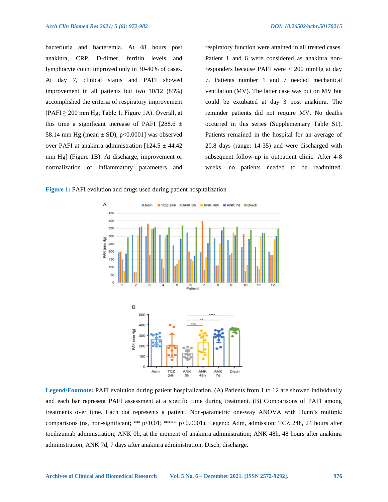bacteriuria and bacteremia. At 48 hours post anakinra, CRP, D-dimer, ferritin levels and lymphocyte count improved only in 30-40% of cases. At day 7, clinical status and PAFI showed improvement in all patients but two 10/12 (83%) accomplished the criteria of respiratory improvement  $(PAFI \ge 200$  mm Hg; Table 1; Figure 1A). Overall, at this time a significant increase of PAFI [288.6  $\pm$ 58.14 mm Hg (mean  $\pm$  SD), p<0.0001] was observed over PAFI at anakinra administration  $[124.5 \pm 44.42]$ mm Hg] (Figure 1B). At discharge, improvement or normalization of inflammatory parameters and respiratory function were attained in all treated cases. Patient 1 and 6 were considered as anakinra nonresponders because PAFI were < 200 mmHg at day 7. Patients number 1 and 7 needed mechanical ventilation (MV). The latter case was put on MV but could be extubated at day 3 post anakinra. The reminder patients did not require MV. No deaths occurred in this series (Supplementary Table S1). Patients remained in the hospital for an average of 20.8 days (range: 14-35) and were discharged with subsequent follow-up in outpatient clinic. After 4-8 weeks, no patients needed to be readmitted.

**Figure 1:** PAFI evolution and drugs used during patient hospitalization



**Legend/Footnote:** PAFI evolution during patient hospitalization. (A) Patients from 1 to 12 are showed individually and each bar represent PAFI assessment at a specific time during treatment. (B) Comparisons of PAFI among treatments over time. Each dot represents a patient. Non-parametric one-way ANOVA with Dunn's multiple comparisons (ns, non-significant; \*\* p<0.01; \*\*\*\* p<0.0001). Legend: Adm, admission; TCZ 24h, 24 hours after tocilizumab administration; ANK 0h, at the moment of anakinra administration; ANK 48h, 48 hours after anakinra administration; ANK 7d, 7 days after anakinra administration; Disch, discharge.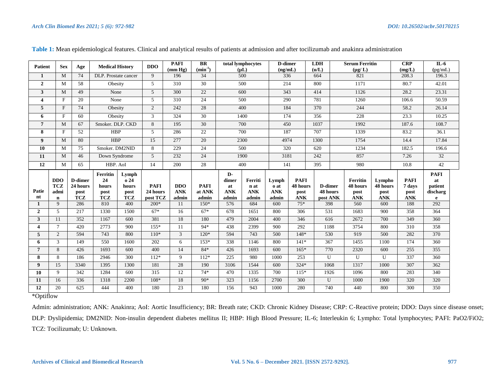| <b>Patient</b>          | <b>Sex</b>                                      | Age                                       | <b>Medical History</b>            |                                     | <b>DDO</b>                          | <b>PAFI</b><br>(mm Hg)            | BR<br>$(min^{-1})$             |                                    | total lymphocytes<br>$(\mu L)$         | <b>D-dimer</b><br>(ng/mL)            |                                               | <b>LDH</b><br>(u/L)             | <b>Serum Ferritin</b><br>$(\mu g/L)$       |                                          | <b>CRP</b><br>(mg/L)                        | $IL-6$<br>(pg/mL)              |
|-------------------------|-------------------------------------------------|-------------------------------------------|-----------------------------------|-------------------------------------|-------------------------------------|-----------------------------------|--------------------------------|------------------------------------|----------------------------------------|--------------------------------------|-----------------------------------------------|---------------------------------|--------------------------------------------|------------------------------------------|---------------------------------------------|--------------------------------|
| 1                       | M                                               | 74                                        | DLP. Prostate cancer              |                                     | 9                                   | 196                               | 34                             |                                    | 500                                    | 336                                  |                                               | 664                             | 821                                        |                                          | 208.3                                       | 196.3                          |
| $\overline{2}$          | M                                               | 58                                        | Obesity                           |                                     | 5                                   | 310                               | 30                             |                                    | 500                                    | 214                                  |                                               | 800                             | 1171                                       |                                          | 80.7                                        | 42.01                          |
| $\mathbf{3}$            | M                                               | 49                                        | None                              |                                     | 5                                   | 300                               | 22                             |                                    | 600                                    | 343                                  |                                               | 414                             | 1126                                       |                                          | 28.2                                        | 23.31                          |
| $\overline{\mathbf{4}}$ | $\mathbf F$                                     | 20                                        | None                              |                                     | 5                                   | 310                               | 24                             |                                    | 500                                    | 290                                  |                                               | 781                             | 1260                                       |                                          | 106.6                                       | 50.59                          |
| 5<br>$\mathbf F$        |                                                 | 74                                        | Obesity                           |                                     | $\overline{2}$                      | 242                               | 28                             |                                    | 400                                    | 184                                  |                                               | 370                             | 244                                        |                                          | 58.2                                        | 26.14                          |
| F<br>6                  |                                                 | 60                                        | Obesity                           |                                     | 3                                   | 324                               | $\overline{30}$                |                                    | 1400                                   | 174                                  |                                               | 356                             | 228                                        |                                          | 23.3                                        | 10.25                          |
| $\overline{7}$          | M                                               | 67                                        | Smoker. DLP. CKD                  |                                     | 8                                   | 195                               | 30                             |                                    | 700                                    | 450                                  |                                               | 1037                            | 1992                                       |                                          | 187.6                                       | 108.7                          |
| 8                       | $\mathbf F$                                     | 52                                        | <b>HBP</b>                        |                                     | 5                                   | 286                               | 22                             |                                    | 700                                    | 187                                  |                                               | 707                             | 1339                                       |                                          | 83.2                                        | 36.1                           |
| 9                       | M                                               | 80                                        | <b>HBP</b>                        |                                     | 15                                  | 277                               | 20                             |                                    | 2300                                   | 4974                                 |                                               | 1300                            | 1754                                       |                                          | 14.4                                        | 17.84                          |
| 10                      | M                                               | 75                                        | Smoker. DM2NID                    |                                     | 8                                   | 229                               | 24                             |                                    | 500                                    | 320                                  |                                               | 620                             | 1234                                       |                                          | 182.5                                       | 196.6                          |
| 11                      | M                                               | 46                                        | Down Syndrome                     |                                     | 5                                   | 232                               | 24                             |                                    | 1900                                   | 3181                                 |                                               | 242                             | 857                                        |                                          | 7.26                                        | $\overline{32}$                |
| 12                      | M                                               | 65                                        | HBP. AoI                          |                                     | 14                                  | 200                               | 28                             |                                    | 400                                    | 141                                  |                                               | 395                             | 980                                        |                                          | 10.8                                        | 42                             |
|                         |                                                 |                                           | Ferritin                          | Lymph                               |                                     |                                   |                                | $\mathbf{D}$                       |                                        |                                      |                                               |                                 |                                            |                                          |                                             | <b>PAFI</b>                    |
| Patie<br>nt             | <b>DDO</b><br><b>TCZ</b><br>admi<br>$\mathbf n$ | D-dimer<br>24 hours<br>post<br><b>TCZ</b> | 24<br>hours<br>post<br><b>TCZ</b> | o 24<br>hours<br>post<br><b>TCZ</b> | <b>PAFI</b><br>24 hours<br>post TCZ | <b>DDO</b><br><b>ANK</b><br>admin | <b>PAFI</b><br>at ANK<br>admin | dimer<br>at<br><b>ANK</b><br>admin | Ferriti<br>n at<br><b>ANK</b><br>admin | Lymph<br>o at<br><b>ANK</b><br>admin | <b>PAFI</b><br>48 hours<br>post<br><b>ANK</b> | D-dimer<br>48 hours<br>post ANK | Ferritin<br>48 hours<br>post<br><b>ANK</b> | Lympho<br>48 hours<br>post<br><b>ANK</b> | <b>PAFI</b><br>7 days<br>post<br><b>ANK</b> | at<br>patient<br>discharg<br>e |
| $\mathbf{1}$            | 9                                               | 286                                       | 810                               | 400                                 | $200*$                              | 11                                | $150*$                         | 576                                | 684                                    | 600                                  | $75*$                                         | 398                             | 560                                        | 600                                      | 188                                         | 292                            |
| $\overline{2}$          | 5                                               | 217                                       | 1330                              | 1500                                | $67*$                               | 16                                | $67*$                          | 678                                | 1651                                   | 800                                  | 306                                           | 531                             | 1683                                       | 900                                      | 358                                         | 364                            |
| 3                       | 11                                              | 352                                       | 1167                              | 600                                 | 381                                 | 18                                | 180                            | 479                                | 2004                                   | 400                                  | 346                                           | 616                             | 2672                                       | 700                                      | 349                                         | 360                            |
| 4                       | $\tau$                                          | 420                                       | 2773                              | 900                                 | $155*$                              | 11                                | 94*                            | 438                                | 2399                                   | 900                                  | 292                                           | 1188                            | 3754                                       | 800                                      | 310                                         | 358                            |
| 5                       | 2                                               | 594                                       | 743                               | 800                                 | $110*$                              | 3                                 | $120*$                         | 594                                | 743                                    | 500                                  | 148*                                          | 530                             | 919                                        | 500                                      | 282                                         | 370                            |
| 6                       | $\overline{3}$                                  | 149                                       | 550                               | 1600                                | 202                                 | 6                                 | $153*$                         | 338                                | 1146                                   | 800                                  | $141*$                                        | 367                             | 1455                                       | 1100                                     | 174                                         | 360                            |
| $\overline{7}$          | 8                                               | 426                                       | 1693                              | 600                                 | 400                                 | 14                                | $84*$                          | 426                                | 1693                                   | 600                                  | $165*$                                        | 770                             | 2320                                       | 600                                      | 255                                         | 355                            |
| 8                       | 8                                               | 186                                       | 2946                              | 300                                 | $112*$                              | 9                                 | $112*$                         | 225                                | 980                                    | 1000                                 | 253                                           | U                               | U                                          | U                                        | 337                                         | 360                            |
| $\boldsymbol{9}$        | 15                                              | 3340                                      | 1395                              | 1300                                | 181                                 | 28                                | 190                            | 3106                               | 1544                                   | 600                                  | $324*$                                        | 1068                            | 1317                                       | 1000                                     | 307                                         | 362                            |
| 10                      | 9                                               | 342                                       | 1284                              | 600                                 | $\overline{315}$                    | 12                                | $74*$                          | 470                                | 1335                                   | 700                                  | $115*$                                        | 1926                            | 1096                                       | 800                                      | 283                                         | 340                            |
| 11<br>12                | 16<br>20                                        | 336<br>625                                | 1318<br>444                       | 2200<br>400                         | $108*$<br>180                       | 18<br>23                          | $90*$<br>180                   | 323<br>156                         | 1156<br>943                            | 2700<br>1000                         | 300<br>280                                    | U<br>740                        | 1000<br>440                                | 1900<br>800                              | 320<br>300                                  | 320<br>350                     |

**Table 1:** Mean epidemiological features. Clinical and analytical results of patients at admission and after tocilizumab and anakinra administration

\*Optiflow

Admin: administration; ANK: Anakinra; AoI: Aortic Insufficiency; BR: Breath rate; CKD: Chronic Kidney Disease; CRP: C-Reactive protein; DDO: Days since disease onset; DLP: Dyslipidemia; DM2NID: Non-insulin dependent diabetes mellitus II; HBP: High Blood Pressure; IL-6; Interleukin 6; Lympho: Total lymphocytes; PAFI: PaO2/FiO2; TCZ: Tocilizumab; U: Unknown.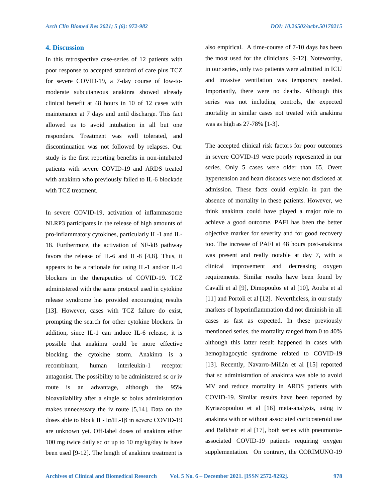## **4. Discussion**

In this retrospective case-series of 12 patients with poor response to accepted standard of care plus TCZ for severe COVID-19, a 7-day course of low-tomoderate subcutaneous anakinra showed already clinical benefit at 48 hours in 10 of 12 cases with maintenance at 7 days and until discharge. This fact allowed us to avoid intubation in all but one responders. Treatment was well tolerated, and discontinuation was not followed by relapses. Our study is the first reporting benefits in non-intubated patients with severe COVID-19 and ARDS treated with anakinra who previously failed to IL-6 blockade with TCZ treatment.

In severe COVID-19, activation of inflammasome NLRP3 participates in the release of high amounts of pro-inflammatory cytokines, particularly IL-1 and IL-18. Furthermore, the activation of NF-kB pathway favors the release of IL-6 and IL-8 [4,8]. Thus, it appears to be a rationale for using IL-1 and/or IL-6 blockers in the therapeutics of COVID-19. TCZ administered with the same protocol used in cytokine release syndrome has provided encouraging results [13]. However, cases with TCZ failure do exist, prompting the search for other cytokine blockers. In addition, since IL-1 can induce IL-6 release, it is possible that anakinra could be more effective blocking the cytokine storm. Anakinra is a recombinant, human interleukin-1 receptor antagonist. The possibility to be administered sc or iv route is an advantage, although the 95% bioavailability after a single sc bolus administration makes unnecessary the iv route [5,14]. Data on the doses able to block IL-1α/IL-1β in severe COVID-19 are unknown yet. Off-label doses of anakinra either 100 mg twice daily sc or up to 10 mg/kg/day iv have been used [9-12]. The length of anakinra treatment is also empirical. A time-course of 7-10 days has been the most used for the clinicians [9-12]. Noteworthy, in our series, only two patients were admitted in ICU and invasive ventilation was temporary needed. Importantly, there were no deaths. Although this series was not including controls, the expected mortality in similar cases not treated with anakinra was as high as 27-78% [1-3].

The accepted clinical risk factors for poor outcomes in severe COVID-19 were poorly represented in our series. Only 5 cases were older than 65. Overt hypertension and heart diseases were not disclosed at admission. These facts could explain in part the absence of mortality in these patients. However, we think anakinra could have played a major role to achieve a good outcome. PAFI has been the better objective marker for severity and for good recovery too. The increase of PAFI at 48 hours post-anakinra was present and really notable at day 7, with a clinical improvement and decreasing oxygen requirements. Similar results have been found by Cavalli et al [9], Dimopoulos et al [10], Aouba et al [11] and Portoli et al [12]. Nevertheless, in our study markers of hyperinflammation did not diminish in all cases as fast as expected. In these previously mentioned series, the mortality ranged from 0 to 40% although this latter result happened in cases with hemophagocytic syndrome related to COVID-19 [13]. Recently, Navarro-Millán et al [15] reported that sc administration of anakinra was able to avoid MV and reduce mortality in ARDS patients with COVID-19. Similar results have been reported by Kyriazopoulou et al [16] meta-analysis, using iv anakinra with or without associated corticosteroid use and Balkhair et al [17], both series with pneumoniaassociated COVID-19 patients requiring oxygen supplementation. On contrary, the CORIMUNO-19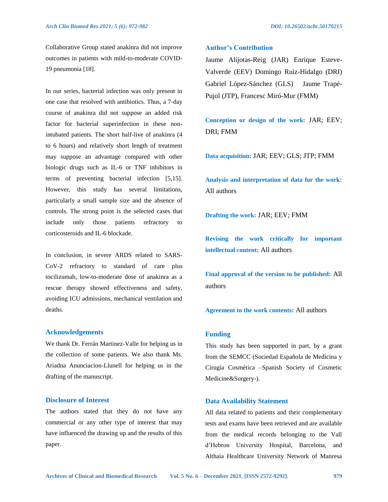Collaborative Group stated anakinra did not improve outcomes in patients with mild-to-moderate COVID-19 pneumonia [18].

In our series, bacterial infection was only present in one case that resolved with antibiotics. Thus, a 7-day course of anakinra did not suppose an added risk factor for bacterial superinfection in these nonintubated patients. The short half-live of anakinra (4 to 6 hours) and relatively short length of treatment may suppose an advantage compared with other biologic drugs such as IL-6 or TNF inhibitors in terms of preventing bacterial infection [5,15]. However, this study has several limitations, particularly a small sample size and the absence of controls. The strong point is the selected cases that include only those patients refractory to corticosteroids and IL-6 blockade.

In conclusion, in severe ARDS related to SARS-CoV-2 refractory to standard of care plus tocilizumab, low-to-moderate dose of anakinra as a rescue therapy showed effectiveness and safety, avoiding ICU admissions, mechanical ventilation and deaths.

## **Acknowledgements**

We thank Dr. Ferrán Martinez-Valle for helping us in the collection of some patients. We also thank Ms. Ariadna Anunciacion-Llunell for helping us in the drafting of the manuscript.

#### **Disclosure of Interest**

The authors stated that they do not have any commercial or any other type of interest that may have influenced the drawing up and the results of this paper.

## **Author's Contribution**

Jaume Alijotas-Reig (JAR) Enrique Esteve-Valverde (EEV) Domingo Ruiz-Hidalgo (DRI) Gabriel López-Sánchez (GLS) Jaume Trapé-Pujol (JTP), Francesc Miró-Mur (FMM)

**Conception or design of the work:** JAR; EEV; DRI; FMM

**Data acquisition:** JAR; EEV; GLS; JTP; FMM

**Analysis and interpretation of data for the work:** All authors

**Drafting the work:** JAR; EEV; FMM

**Revising the work critically for important intellectual content:** All authors

**Final approval of the version to be published:** All authors

**Agreement to the work contents:** All authors

#### **Funding**

This study has been supported in part, by a grant from the SEMCC (Sociedad Española de Medicina y Cirugía Cosmética –Spanish Society of Cosmetic Medicine&Surgery-).

## **Data Availability Statement**

All data related to patients and their complementary tests and exams have been retrieved and are available from the medical records belonging to the Vall d'Hebron University Hospital, Barcelona, and Althaia Healthcare University Network of Manresa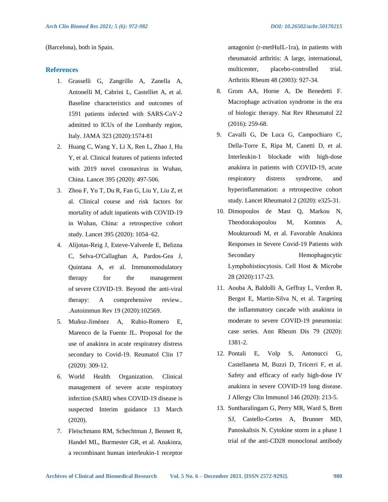(Barcelona), both in Spain.

## **References**

- 1. Grasselli G, Zangrillo A, Zanella A, Antonelli M, Cabrini L, Castelliet A, et al. Baseline characteristics and outcomes of 1591 patients infected with SARS-CoV-2 admitted to ICUs of the Lombardy region, Italy. JAMA 323 (2020):1574-81
- 2. Huang C, Wang Y, Li X, Ren L, Zhao J, Hu Y, et al. Clinical features of patients infected with 2019 novel coronavirus in Wuhan, China. Lancet 395 (2020): 497-506.
- 3. Zhou F, Yu T, Du R, Fan G, Liu Y, Liu Z, et al. Clinical course and risk factors for mortality of adult inpatients with COVID-19 in Wuhan, China: a retrospective cohort study. Lancet 395 (2020): 1054–62.
- 4. Alijotas-Reig J, Esteve-Valverde E, Belizna C, Selva-O'Callaghan A, Pardos-Gea J, Quintana A, et al. Immunomodulatory therapy for the management of severe COVID-19. Beyond the anti-viral therapy: A comprehensive review.. .Autoimmun Rev 19 (2020):102569.
- 5. Muñoz-Jiménez A, Rubio-Romero E, Marenco de la Fuente JL. Proposal for the use of anakinra in acute respiratory distress secondary to Covid-19. Reumatol Clin 17 (2020): 309-12.
- 6. World Health Organization. Clinical management of severe acute respiratory infection (SARI) when COVID-19 disease is suspected Interim guidance 13 March (2020).
- 7. Fleischmann RM, Schechtman J, Bennett R, Handel ML, Burmester GR, et al. Anakinra, a recombinant human interleukin-1 receptor

antagonist (r-metHuIL-1ra), in patients with rheumatoid arthritis: A large, international, multicenter, placebo-controlled trial. Arthritis Rheum 48 (2003): 927-34.

- 8. Grom AA, Horne A, De Benedetti F. Macrophage activation syndrome in the era of biologic therapy. Nat Rev Rheumatol 22 (2016): 259-68.
- 9. Cavalli G, De Luca G, Campochiaro C, Della-Torre E, Ripa M, Canetti D, et al. Interleukin-1 blockade with high-dose anakinra in patients with COVID-19, acute respiratory distress syndrome, and hyperinflammation: a retrospective cohort study. Lancet Rheumatol 2 (2020): e325-31.
- 10. Dimopoulos de Mast Q, Markou N, Theodorakopoulou M, Komnos A, Mouktaroudi M, et al. Favorable Anakinra Responses in Severe Covid-19 Patients with Secondary Hemophagocytic Lymphohistiocytosis. Cell Host & Microbe 28 (2020):117-23.
- 11. Aouba A, Baldolli A, Geffray L, Verdon R, Bergot E, Martin-Silva N, et al. Targeting the inflammatory cascade with anakinra in moderate to severe COVID-19 pneumonia: case series. Ann Rheum Dis 79 (2020): 1381-2.
- 12. Pontali E, Volp S, Antonucci G, Castellaneta M, Buzzi D, Tricerri F, et al. Safety and efficacy of early high-dose IV anakinra in severe COVID-19 lung disease. J Allergy Clin Immunol 146 (2020): 213-5.
- 13. Suntharalingam G, Perry MR, Ward S, Brett SJ, Castello-Cortes A, Brunner MD, Panoskaltsis N. Cytokine storm in a phase 1 trial of the anti-CD28 monoclonal antibody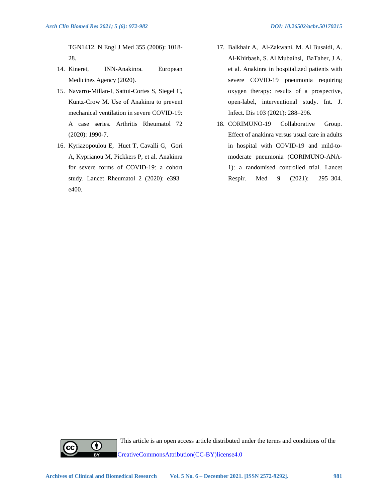TGN1412. N Engl J Med 355 (2006): 1018- 28.

- 14. Kineret, INN-Anakinra. European Medicines Agency (2020).
- 15. Navarro-Millan-I, Sattui-Cortes S, Siegel C, Kuntz-Crow M. Use of Anakinra to prevent mechanical ventilation in severe COVID-19: A case series. Arthritis Rheumatol 72 (2020): 1990-7.
- 16. Kyriazopoulou E, Huet T, Cavalli G, Gori A, Kyprianou M, Pickkers P, et al. Anakinra for severe forms of COVID-19: a cohort study. Lancet Rheumatol 2 (2020): e393– e400.
- 17. Balkhair A, Al-Zakwani, M. Al Busaidi, A. Al-Khirbash, S. Al Mubaihsi, BaTaher, J A. et al. Anakinra in hospitalized patients with severe COVID-19 pneumonia requiring oxygen therapy: results of a prospective, open-label, interventional study. Int. J. Infect. Dis 103 (2021): 288–296.
- 18. CORIMUNO-19 Collaborative Group. Effect of anakinra versus usual care in adults in hospital with COVID-19 and mild-tomoderate pneumonia (CORIMUNO-ANA-1): a randomised controlled trial. Lancet Respir. Med 9 (2021): 295–304.



This article is an open access article distributed under the terms and conditions of the [CreativeCommonsAttribution\(CC-BY\)license4.0](http://creativecommons.org/licenses/by/4.0/)